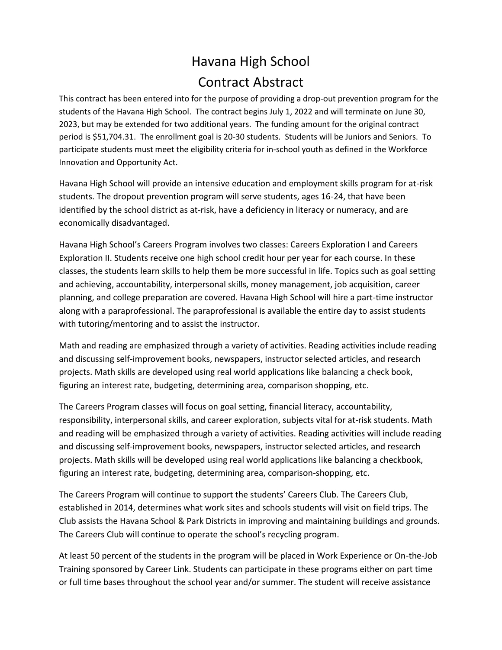## Havana High School Contract Abstract

This contract has been entered into for the purpose of providing a drop-out prevention program for the students of the Havana High School. The contract begins July 1, 2022 and will terminate on June 30, 2023, but may be extended for two additional years. The funding amount for the original contract period is \$51,704.31. The enrollment goal is 20-30 students. Students will be Juniors and Seniors. To participate students must meet the eligibility criteria for in-school youth as defined in the Workforce Innovation and Opportunity Act.

Havana High School will provide an intensive education and employment skills program for at-risk students. The dropout prevention program will serve students, ages 16-24, that have been identified by the school district as at-risk, have a deficiency in literacy or numeracy, and are economically disadvantaged.

Havana High School's Careers Program involves two classes: Careers Exploration I and Careers Exploration II. Students receive one high school credit hour per year for each course. In these classes, the students learn skills to help them be more successful in life. Topics such as goal setting and achieving, accountability, interpersonal skills, money management, job acquisition, career planning, and college preparation are covered. Havana High School will hire a part-time instructor along with a paraprofessional. The paraprofessional is available the entire day to assist students with tutoring/mentoring and to assist the instructor.

Math and reading are emphasized through a variety of activities. Reading activities include reading and discussing self-improvement books, newspapers, instructor selected articles, and research projects. Math skills are developed using real world applications like balancing a check book, figuring an interest rate, budgeting, determining area, comparison shopping, etc.

The Careers Program classes will focus on goal setting, financial literacy, accountability, responsibility, interpersonal skills, and career exploration, subjects vital for at-risk students. Math and reading will be emphasized through a variety of activities. Reading activities will include reading and discussing self-improvement books, newspapers, instructor selected articles, and research projects. Math skills will be developed using real world applications like balancing a checkbook, figuring an interest rate, budgeting, determining area, comparison-shopping, etc.

The Careers Program will continue to support the students' Careers Club. The Careers Club, established in 2014, determines what work sites and schools students will visit on field trips. The Club assists the Havana School & Park Districts in improving and maintaining buildings and grounds. The Careers Club will continue to operate the school's recycling program.

At least 50 percent of the students in the program will be placed in Work Experience or On-the-Job Training sponsored by Career Link. Students can participate in these programs either on part time or full time bases throughout the school year and/or summer. The student will receive assistance